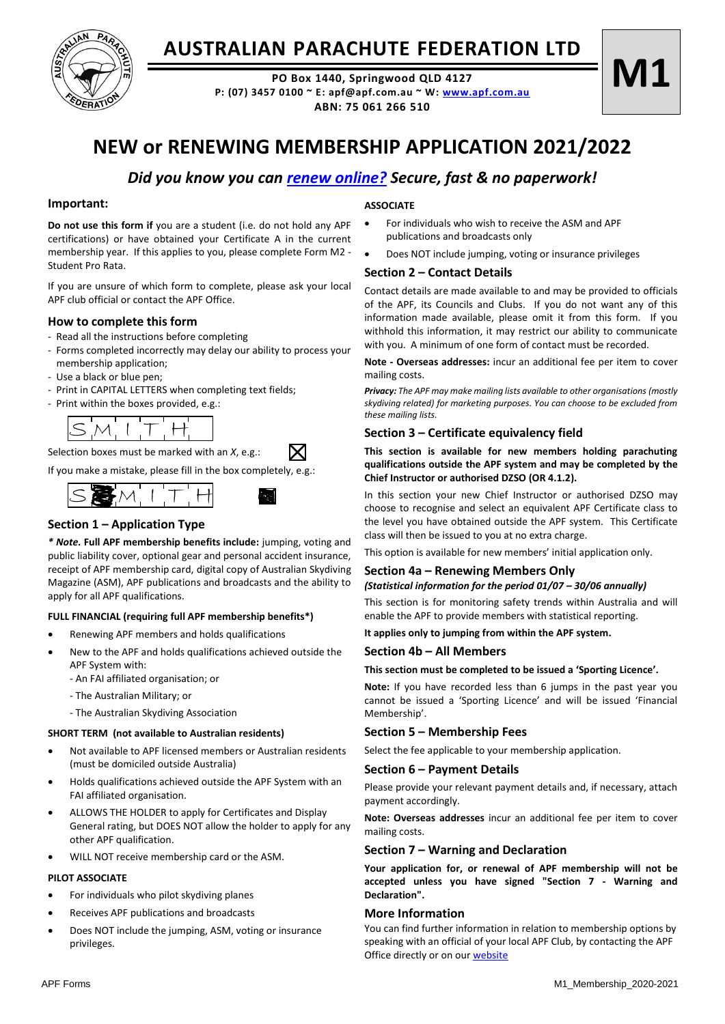

## **AUSTRALIAN PARACHUTE FEDERATION LTD**

**PO Box 1440, Springwood QLD 4127 P: (07) 3457 0100 ~ E: apf@apf.com.au ~ W: [www.apf.com.au](http://www.apf.com.au/) ABN: 75 061 266 510**

# **M1**

## **NEW or RENEWING MEMBERSHIP APPLICATION 2021/2022**

### *Did you know you can [renew online?](https://www.apf.com.au/) Secure, fast & no paperwork!*

#### **Important:**

**Do not use this form if** you are a student (i.e. do not hold any APF certifications) or have obtained your Certificate A in the current membership year. If this applies to you, please complete Form M2 - Student Pro Rata.

If you are unsure of which form to complete, please ask your local APF club official or contact the APF Office.

#### **How to complete this form**

- Read all the instructions before completing
- Forms completed incorrectly may delay our ability to process your membership application;
- Use a black or blue pen;
- Print in CAPITAL LETTERS when completing text fields;
- Print within the boxes provided, e.g.:



Selection boxes must be marked with an *X*, e.g.:

If you make a mistake, please fill in the box completely, e.g.:



#### **Section 1 – Application Type**

*\* Note.* **Full APF membership benefits include:** jumping, voting and public liability cover, optional gear and personal accident insurance, receipt of APF membership card, digital copy of Australian Skydiving Magazine (ASM), APF publications and broadcasts and the ability to apply for all APF qualifications.

#### **FULL FINANCIAL (requiring full APF membership benefits\*)**

- Renewing APF members and holds qualifications
- New to the APF and holds qualifications achieved outside the APF System with:
	- An FAI affiliated organisation; or
	- The Australian Military; or
	- The Australian Skydiving Association

#### **SHORT TERM (not available to Australian residents)**

- Not available to APF licensed members or Australian residents (must be domiciled outside Australia)
- Holds qualifications achieved outside the APF System with an FAI affiliated organisation.
- ALLOWS THE HOLDER to apply for Certificates and Display General rating, but DOES NOT allow the holder to apply for any other APF qualification.
- WILL NOT receive membership card or the ASM.

#### **PILOT ASSOCIATE**

- For individuals who pilot skydiving planes
- Receives APF publications and broadcasts
- Does NOT include the jumping, ASM, voting or insurance privileges.

#### **ASSOCIATE**

- For individuals who wish to receive the ASM and APF publications and broadcasts only
- Does NOT include jumping, voting or insurance privileges

#### **Section 2 – Contact Details**

Contact details are made available to and may be provided to officials of the APF, its Councils and Clubs. If you do not want any of this information made available, please omit it from this form. If you withhold this information, it may restrict our ability to communicate with you. A minimum of one form of contact must be recorded.

**Note - Overseas addresses:** incur an additional fee per item to cover mailing costs.

*Privacy: The APF may make mailing lists available to other organisations (mostly skydiving related) for marketing purposes. You can choose to be excluded from these mailing lists.*

#### **Section 3 – Certificate equivalency field**

**This section is available for new members holding parachuting qualifications outside the APF system and may be completed by the Chief Instructor or authorised DZSO (OR 4.1.2).**

In this section your new Chief Instructor or authorised DZSO may choose to recognise and select an equivalent APF Certificate class to the level you have obtained outside the APF system. This Certificate class will then be issued to you at no extra charge.

This option is available for new members' initial application only.

## **Section 4a – Renewing Members Only**

*(Statistical information for the period 01/07 – 30/06 annually)* This section is for monitoring safety trends within Australia and will

enable the APF to provide members with statistical reporting.

#### **It applies only to jumping from within the APF system.**

#### **Section 4b – All Members**

#### **This section must be completed to be issued a 'Sporting Licence'.**

**Note:** If you have recorded less than 6 jumps in the past year you cannot be issued a 'Sporting Licence' and will be issued 'Financial Membership'.

#### **Section 5 – Membership Fees**

Select the fee applicable to your membership application.

#### **Section 6 – Payment Details**

Please provide your relevant payment details and, if necessary, attach payment accordingly.

**Note: Overseas addresses** incur an additional fee per item to cover mailing costs.

#### **Section 7 – Warning and Declaration**

**Your application for, or renewal of APF membership will not be accepted unless you have signed "Section 7 - Warning and Declaration".** 

#### **More Information**

You can find further information in relation to membership options by speaking with an official of your local APF Club, by contacting the APF Office directly or on ou[r website](https://www.apf.com.au/apf-zone/membership-options/membership-options)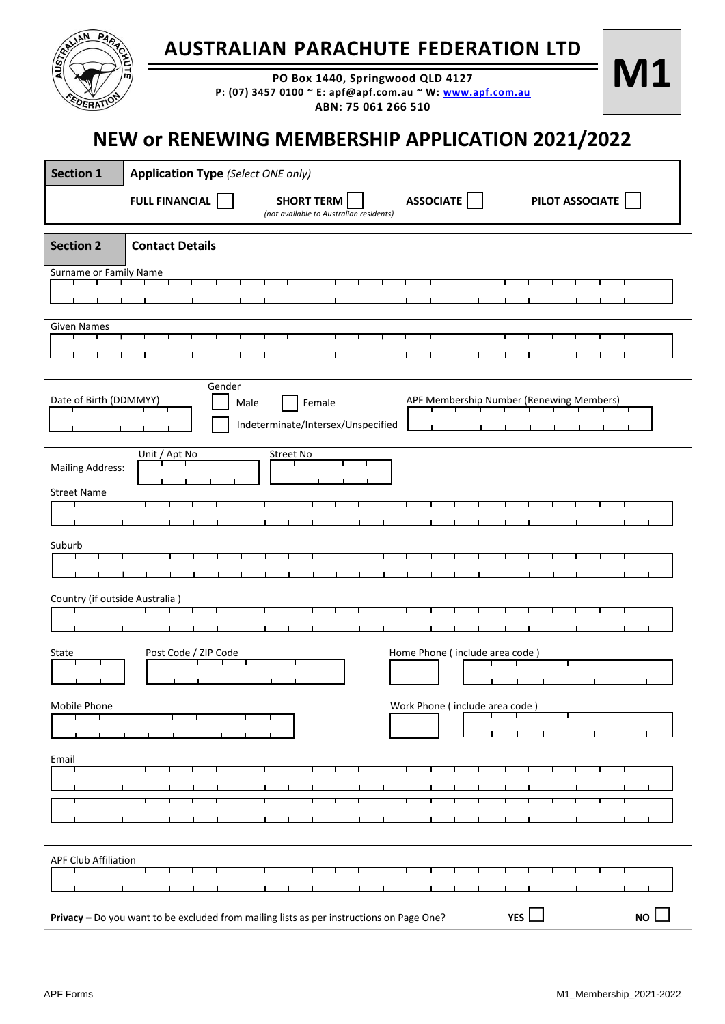| RANLIAN<br>PART                                                                          | <b>AUTE</b>                                             |                      | <b>AUSTRALIAN PARACHUTE FEDERATION LTD</b> |                                            |           |                   |                                         | PO Box 1440, Springwood QLD 4127<br>ABN: 75 061 266 510 |  | P: (07) 3457 0100 ~ E: apf@apf.com.au ~ W: www.apf.com.au |  |                                          | M1        |  |
|------------------------------------------------------------------------------------------|---------------------------------------------------------|----------------------|--------------------------------------------|--------------------------------------------|-----------|-------------------|-----------------------------------------|---------------------------------------------------------|--|-----------------------------------------------------------|--|------------------------------------------|-----------|--|
|                                                                                          | <b>NEW or RENEWING MEMBERSHIP APPLICATION 2021/2022</b> |                      |                                            |                                            |           |                   |                                         |                                                         |  |                                                           |  |                                          |           |  |
| <b>Section 1</b>                                                                         | <b>Application Type (Select ONE only)</b>               |                      |                                            |                                            |           |                   |                                         |                                                         |  |                                                           |  |                                          |           |  |
|                                                                                          | <b>FULL FINANCIAL</b>                                   |                      |                                            |                                            |           | <b>SHORT TERM</b> | (not available to Australian residents) | <b>ASSOCIATE</b>                                        |  |                                                           |  | PILOT ASSOCIATE                          |           |  |
| <b>Section 2</b>                                                                         | <b>Contact Details</b>                                  |                      |                                            |                                            |           |                   |                                         |                                                         |  |                                                           |  |                                          |           |  |
| Surname or Family Name                                                                   |                                                         |                      |                                            |                                            |           |                   |                                         |                                                         |  |                                                           |  |                                          |           |  |
|                                                                                          |                                                         |                      |                                            |                                            |           |                   |                                         |                                                         |  |                                                           |  |                                          |           |  |
| Given Names                                                                              |                                                         |                      |                                            |                                            |           |                   |                                         |                                                         |  |                                                           |  |                                          |           |  |
|                                                                                          |                                                         |                      |                                            |                                            |           |                   |                                         |                                                         |  |                                                           |  |                                          |           |  |
|                                                                                          |                                                         |                      |                                            |                                            |           |                   |                                         |                                                         |  |                                                           |  |                                          |           |  |
| Date of Birth (DDMMYY)                                                                   |                                                         |                      | Gender                                     |                                            |           |                   |                                         |                                                         |  |                                                           |  | APF Membership Number (Renewing Members) |           |  |
|                                                                                          |                                                         |                      |                                            | Male<br>Indeterminate/Intersex/Unspecified |           | Female            |                                         |                                                         |  |                                                           |  |                                          |           |  |
|                                                                                          |                                                         |                      |                                            |                                            |           |                   |                                         |                                                         |  |                                                           |  |                                          |           |  |
| <b>Mailing Address:</b>                                                                  |                                                         | Unit / Apt No        |                                            |                                            | Street No |                   |                                         |                                                         |  |                                                           |  |                                          |           |  |
| <b>Street Name</b>                                                                       |                                                         |                      |                                            |                                            |           |                   |                                         |                                                         |  |                                                           |  |                                          |           |  |
|                                                                                          |                                                         |                      |                                            |                                            |           |                   |                                         |                                                         |  |                                                           |  |                                          |           |  |
|                                                                                          |                                                         |                      |                                            |                                            |           |                   |                                         |                                                         |  |                                                           |  |                                          |           |  |
| Suburb                                                                                   |                                                         |                      |                                            |                                            |           |                   |                                         |                                                         |  |                                                           |  |                                          |           |  |
|                                                                                          |                                                         |                      |                                            |                                            |           |                   |                                         |                                                         |  |                                                           |  |                                          |           |  |
| Country (if outside Australia)                                                           |                                                         |                      |                                            |                                            |           |                   |                                         |                                                         |  |                                                           |  |                                          |           |  |
|                                                                                          |                                                         |                      |                                            |                                            |           |                   |                                         |                                                         |  |                                                           |  |                                          |           |  |
| State                                                                                    |                                                         |                      |                                            |                                            |           |                   |                                         |                                                         |  | Home Phone (include area code)                            |  |                                          |           |  |
|                                                                                          |                                                         | Post Code / ZIP Code |                                            |                                            |           |                   |                                         |                                                         |  |                                                           |  |                                          |           |  |
|                                                                                          |                                                         |                      |                                            |                                            |           |                   |                                         |                                                         |  |                                                           |  |                                          |           |  |
| Mobile Phone                                                                             |                                                         |                      |                                            |                                            |           |                   |                                         |                                                         |  | Work Phone (include area code)                            |  |                                          |           |  |
|                                                                                          |                                                         |                      |                                            |                                            |           |                   |                                         |                                                         |  |                                                           |  |                                          |           |  |
| Email                                                                                    |                                                         |                      |                                            |                                            |           |                   |                                         |                                                         |  |                                                           |  |                                          |           |  |
|                                                                                          |                                                         |                      |                                            |                                            |           |                   |                                         |                                                         |  |                                                           |  |                                          |           |  |
|                                                                                          |                                                         |                      |                                            |                                            |           |                   |                                         |                                                         |  |                                                           |  |                                          |           |  |
|                                                                                          |                                                         |                      |                                            |                                            |           |                   |                                         |                                                         |  |                                                           |  |                                          |           |  |
| <b>APF Club Affiliation</b>                                                              |                                                         |                      |                                            |                                            |           |                   |                                         |                                                         |  |                                                           |  |                                          |           |  |
|                                                                                          |                                                         |                      |                                            |                                            |           |                   |                                         |                                                         |  |                                                           |  |                                          |           |  |
|                                                                                          |                                                         |                      |                                            |                                            |           |                   |                                         |                                                         |  |                                                           |  |                                          |           |  |
| Privacy - Do you want to be excluded from mailing lists as per instructions on Page One? |                                                         |                      |                                            |                                            |           |                   |                                         |                                                         |  | <b>YES</b>                                                |  |                                          | <b>NO</b> |  |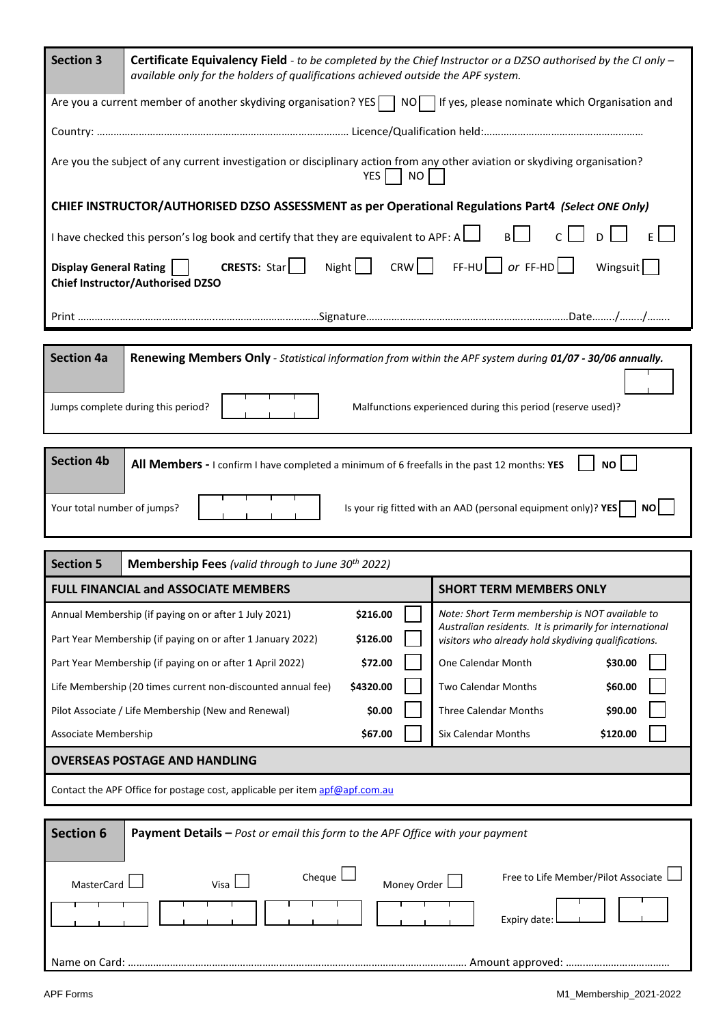| <b>Section 3</b>                                                                                                                                 | Certificate Equivalency Field - to be completed by the Chief Instructor or a DZSO authorised by the CI only -<br>available only for the holders of qualifications achieved outside the APF system. |                                                                                                                                                                   |  |  |  |  |  |  |  |
|--------------------------------------------------------------------------------------------------------------------------------------------------|----------------------------------------------------------------------------------------------------------------------------------------------------------------------------------------------------|-------------------------------------------------------------------------------------------------------------------------------------------------------------------|--|--|--|--|--|--|--|
| Are you a current member of another skydiving organisation? YES $\Box$ NO $\Box$ If yes, please nominate which Organisation and                  |                                                                                                                                                                                                    |                                                                                                                                                                   |  |  |  |  |  |  |  |
|                                                                                                                                                  |                                                                                                                                                                                                    |                                                                                                                                                                   |  |  |  |  |  |  |  |
| Are you the subject of any current investigation or disciplinary action from any other aviation or skydiving organisation?<br><b>NO</b><br>YES I |                                                                                                                                                                                                    |                                                                                                                                                                   |  |  |  |  |  |  |  |
|                                                                                                                                                  | CHIEF INSTRUCTOR/AUTHORISED DZSO ASSESSMENT as per Operational Regulations Part4 (Select ONE Only)                                                                                                 |                                                                                                                                                                   |  |  |  |  |  |  |  |
| I have checked this person's log book and certify that they are equivalent to APF: A $\Box$<br>B                                                 |                                                                                                                                                                                                    |                                                                                                                                                                   |  |  |  |  |  |  |  |
| <b>CRESTS:</b> Star $\vert \vert$<br>Display General Rating    <br>Wingsuit<br>Chief Instructor/Authorised DZSO                                  |                                                                                                                                                                                                    |                                                                                                                                                                   |  |  |  |  |  |  |  |
|                                                                                                                                                  |                                                                                                                                                                                                    |                                                                                                                                                                   |  |  |  |  |  |  |  |
|                                                                                                                                                  |                                                                                                                                                                                                    |                                                                                                                                                                   |  |  |  |  |  |  |  |
| <b>Section 4a</b>                                                                                                                                | Renewing Members Only - Statistical information from within the APF system during 01/07 - 30/06 annually.                                                                                          |                                                                                                                                                                   |  |  |  |  |  |  |  |
| Jumps complete during this period?<br>Malfunctions experienced during this period (reserve used)?                                                |                                                                                                                                                                                                    |                                                                                                                                                                   |  |  |  |  |  |  |  |
|                                                                                                                                                  |                                                                                                                                                                                                    |                                                                                                                                                                   |  |  |  |  |  |  |  |
| <b>Section 4b</b>                                                                                                                                | All Members - I confirm I have completed a minimum of 6 freefalls in the past 12 months: YES                                                                                                       | <b>NO</b>                                                                                                                                                         |  |  |  |  |  |  |  |
| Is your rig fitted with an AAD (personal equipment only)? YES<br>Your total number of jumps?<br><b>NO</b>                                        |                                                                                                                                                                                                    |                                                                                                                                                                   |  |  |  |  |  |  |  |
|                                                                                                                                                  |                                                                                                                                                                                                    |                                                                                                                                                                   |  |  |  |  |  |  |  |
|                                                                                                                                                  |                                                                                                                                                                                                    |                                                                                                                                                                   |  |  |  |  |  |  |  |
| <b>Section 5</b>                                                                                                                                 | Membership Fees (valid through to June 30 <sup>th</sup> 2022)                                                                                                                                      |                                                                                                                                                                   |  |  |  |  |  |  |  |
|                                                                                                                                                  | <b>FULL FINANCIAL and ASSOCIATE MEMBERS</b>                                                                                                                                                        | <b>SHORT TERM MEMBERS ONLY</b>                                                                                                                                    |  |  |  |  |  |  |  |
|                                                                                                                                                  | \$216.00<br>Annual Membership (if paying on or after 1 July 2021)<br>\$126.00<br>Part Year Membership (if paying on or after 1 January 2022)                                                       | Note: Short Term membership is NOT available to<br>Australian residents. It is primarily for international<br>visitors who already hold skydiving qualifications. |  |  |  |  |  |  |  |
|                                                                                                                                                  | Part Year Membership (if paying on or after 1 April 2022)<br>\$72.00                                                                                                                               | One Calendar Month<br>\$30.00                                                                                                                                     |  |  |  |  |  |  |  |
|                                                                                                                                                  | Life Membership (20 times current non-discounted annual fee)<br>\$4320.00                                                                                                                          | Two Calendar Months<br>\$60.00                                                                                                                                    |  |  |  |  |  |  |  |
|                                                                                                                                                  | \$0.00<br>Pilot Associate / Life Membership (New and Renewal)                                                                                                                                      | <b>Three Calendar Months</b><br>\$90.00                                                                                                                           |  |  |  |  |  |  |  |
| Associate Membership                                                                                                                             | \$67.00                                                                                                                                                                                            | Six Calendar Months<br>\$120.00                                                                                                                                   |  |  |  |  |  |  |  |
|                                                                                                                                                  | <b>OVERSEAS POSTAGE AND HANDLING</b>                                                                                                                                                               |                                                                                                                                                                   |  |  |  |  |  |  |  |
|                                                                                                                                                  | Contact the APF Office for postage cost, applicable per item apf@apf.com.au                                                                                                                        |                                                                                                                                                                   |  |  |  |  |  |  |  |
|                                                                                                                                                  |                                                                                                                                                                                                    |                                                                                                                                                                   |  |  |  |  |  |  |  |
| <b>Section 6</b>                                                                                                                                 | Payment Details - Post or email this form to the APF Office with your payment                                                                                                                      |                                                                                                                                                                   |  |  |  |  |  |  |  |
| MasterCard                                                                                                                                       | Cheque<br>Visa<br>Money Order                                                                                                                                                                      | Free to Life Member/Pilot Associate                                                                                                                               |  |  |  |  |  |  |  |
|                                                                                                                                                  |                                                                                                                                                                                                    | Expiry date:                                                                                                                                                      |  |  |  |  |  |  |  |